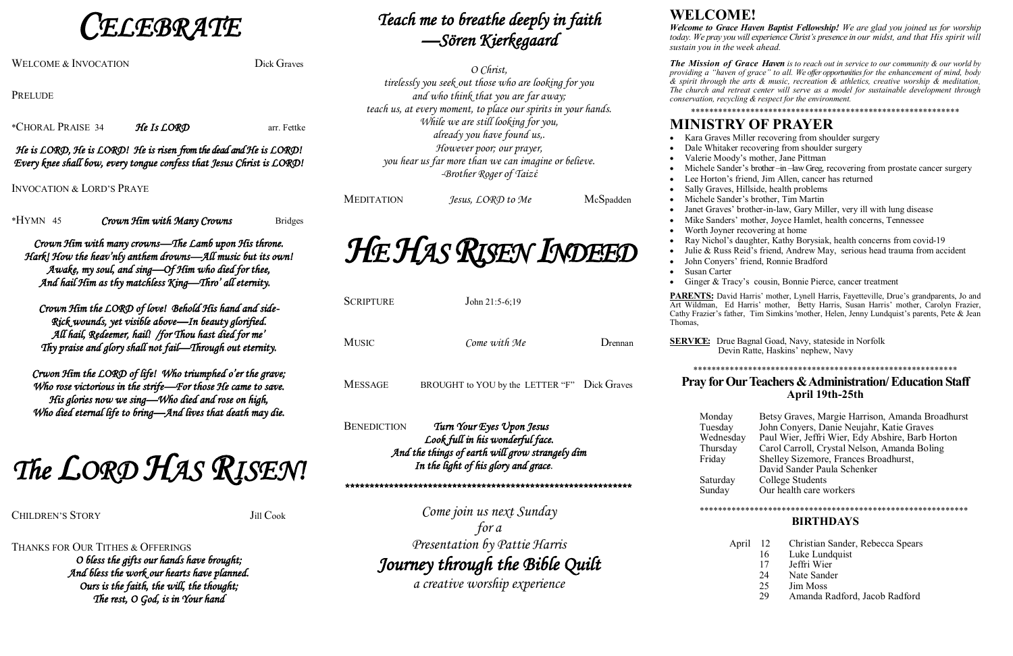**ELEBRATE** 

WELCOME & INVOCATION Dick Graves

PRELUDE

\*CHORAL PRAISE 34 He Is  $\mathcal{L}ORD$  arr. Fettke

### He is LORD, He is LORD! He is risen from the dead and He is LORD! Every knee shall bow, every tongue confess that Jesus Christ is LORD!

INVOCATION & LORD'S PRAYE

\*HYMN 45 Crown Him with Many Crowns Bridges

Crown Him with many crowns—The Lamb upon His throne. Hark! How the heav'nly anthem drowns—All music but its own! Awake, my soul, and sing—Of Him who died for thee, And hail Him as thy matchless King—Thro' all eternity.

THANKS FOR OUR TITHES & OFFERINGS O bless the gifts our hands have brought; And bless the work our hearts have planned. Ours is the faith, the will, the thought; The rest, O God, is in Your hand

Crown Him the LORD of love! Behold His hand and side-Rick wounds, yet visible above—In beauty glorified. All hail, Redeemer, hail! /for Thou hast died for me' Thy praise and glory shall not fail—Through out eternity.

Crwon Him the LORD of life! Who triumphed o'er the grave; Who rose victorious in the strife—For those He came to save. His glories now we sing—Who died and rose on high, Who died eternal life to bring—And lives that death may die.

The LORD HAS RISEN!

CHILDREN'S STORY Jill Cook

| SCRIPTURE                                                                                                                                                                      | John $21:5-6:19$                             |                     |  |  |  |
|--------------------------------------------------------------------------------------------------------------------------------------------------------------------------------|----------------------------------------------|---------------------|--|--|--|
| <b>MUSIC</b>                                                                                                                                                                   | Come with Me                                 | $\mathsf{D}$ rennan |  |  |  |
| <b>MESSAGE</b>                                                                                                                                                                 | BROUGHT to YOU by the LETTER "F" Dick Graves |                     |  |  |  |
| <b>BENEDICTION</b><br>Turn Your Eyes Upon Jesus<br>Look full in his wonderful face.<br>And the things of earth will grow strangely dim<br>In the light of his glory and grace. |                                              |                     |  |  |  |
| Come join us next Sunday<br>for a<br>Presentation by Pattie Harris<br>Journey through the Bible Ouilt                                                                          |                                              |                     |  |  |  |

**urney through the Dible Quilt**<br>a creative worship experience

# Teach me to breathe deeply in faith —Sören Kierkegaard

O Christ, tirelessly you seek out those who are looking for you and who think that you are far away; teach us, at every moment, to place our spirits in your hands. While we are still looking for you, already you have found us,. However poor; our prayer, you hear us far more than we can imagine or believe. -Brother Roger of Taizέ

MEDITATION Jesus, LORD to Me McSpadden

HE HAS RISEN INDEED

**SERVICE:** Drue Bagnal Goad, Navy, stateside in Norfolk Devin Ratte, Haskins' nephew, Navy

## **WELCOME!**

*Welcome to Grace Haven Baptist Fellowship! We are glad you joined us for worship today. We pray you will experience Christ's presence in our midst, and that His spirit will sustain you in the week ahead.*

*The Mission of Grace Haven is to reach out in service to our community & our world by providing a "haven of grace" to all. We offer opportunities for the enhancement of mind, body & spirit through the arts & music, recreation & athletics, creative worship & meditation The church and retreat center will serve as a model for sustainable development through conservation, recycling & respect for the environment.*

\*\*\*\*\*\*\*\*\*\*\*\*\*\*\*\*\*\*\*\*\*\*\*\*\*\*\*\*\*\*\*\*\*\*\*\*\*\*\*\*\*\*\*\*\*\*\*\*\*\*\*\*\*\*\*\*\*\*\*

• Kara Graves Miller recovering from shoulder surgery Dale Whitaker recovering from shoulder surgery x Valerie Moody's mother, Jane Pittman Michele Sander's brother –in –law Greg, recovering from prostate cancer surgery Lee Horton's friend, Jim Allen, cancer has returned Sally Graves, Hillside, health problems Michele Sander's brother, Tim Martin Janet Graves' brother-in-law, Gary Miller, very ill with lung disease • Mike Sanders' mother, Joyce Hamlet, health concerns, Tennessee • Worth Joyner recovering at home Ray Nichol's daughter, Kathy Borysiak, health concerns from covid-19 Julie & Russ Reid's friend, Andrew May, serious head trauma from accident John Conyers' friend, Ronnie Bradford

Ginger & Tracy's cousin, Bonnie Pierce, cancer treatment

## **MINISTRY OF PRAYER**

- 
- 
- 
- 
- 
- 
- 
- 
- 
- 
- 
- 
- Susan Carter
- 

**PARENTS:** David Harris' mother, Lynell Harris, Fayetteville, Drue's grandparents, Jo and Art Wildman, Ed Harris' mother, Betty Harris, Susan Harris' mother, Carolyn Frazier, Cathy Frazier's father, Tim Simkins 'mother, Helen, Jenny Lundquist's parents, Pete & Jean

Thomas,

\*\*\*\*\*\*\*\*\*\*\*\*\*\*\*\*\*\*\*\*\*\*\*\*\*\*\*\*\*\*\*\*\*\*\*\*\*\*\*\*\*\*\*\*\*\*\*\*\*\*\*\*\*\*\*\*\*\*

### **Pray for Our Teachers & Administration/ Education Staff April 19th-25th**

Monday Betsy Graves, Margie Harrison, Amanda Broadhurst Tuesday John Conyers, Danie Neujahr, Katie Graves

Wednesday Paul Wier, Jeffri Wier, Edy Abshire, Barb Horton Thursday Carol Carroll, Crystal Nelson, Amanda Boling Friday Shelley Sizemore, Frances Broadhurst, David Sander Paula Schenker Saturday College Students Sunday Our health care workers

\*\*\*\*\*\*\*\*\*\*\*\*\*\*\*\*\*\*\*\*\*\*\*\*\*\*\*\*\*\*\*\*\*\*\*\*\*\*\*\*\*\*\*\*\*\*\*\*\*\*\*\*\*\*\*\*\*\*\*

#### **BIRTHDAYS**

- April 12 Christian Sander, Rebecca Spears
	- 16 Luke Lundquist<br>17 Jeffri Wier
	- Jeffri Wier
	- 24 Nate Sander
	- 25 Jim Moss
	- 29 Amanda Radford, Jacob Radford